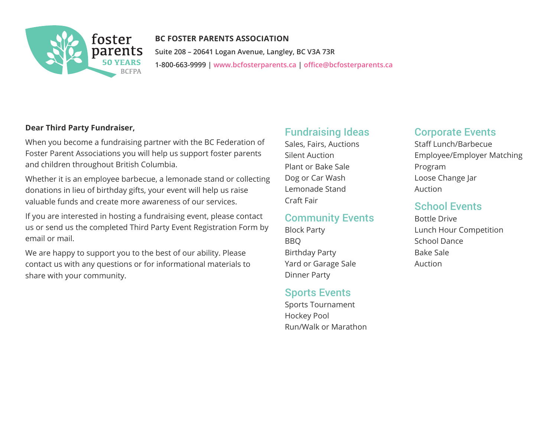

### **BC FOSTER PARENTS ASSOCIATION Suite 208 – 20641 Logan Avenue, Langley, BC V3A 73R 1-800-663-9999 | [www.bcfosterparents.ca](https://www.bcfosterparents.ca) | [office@bcfosterparents.ca](mailto:office%40bcfosterparents.ca?subject=Third%20Party%20Event%20Application)**

#### **Dear Third Party Fundraiser,**

When you become a fundraising partner with the BC Federation of Foster Parent Associations you will help us support foster parents and children throughout British Columbia.

Whether it is an employee barbecue, a lemonade stand or collecting donations in lieu of birthday gifts, your event will help us raise valuable funds and create more awareness of our services.

If you are interested in hosting a fundraising event, please contact us or send us the completed Third Party Event Registration Form by email or mail.

We are happy to support you to the best of our ability. Please contact us with any questions or for informational materials to share with your community.

## Fundraising Ideas

Sales, Fairs, Auctions Silent Auction Plant or Bake Sale Dog or Car Wash Lemonade Stand Craft Fair

#### Community Events

Block Party BBQ Birthday Party Yard or Garage Sale Dinner Party

# Sports Events

Sports Tournament Hockey Pool Run/Walk or Marathon

# Corporate Events

Staff Lunch/Barbecue Employee/Employer Matching Program Loose Change Jar Auction

# School Events

Bottle Drive Lunch Hour Competition School Dance Bake Sale Auction